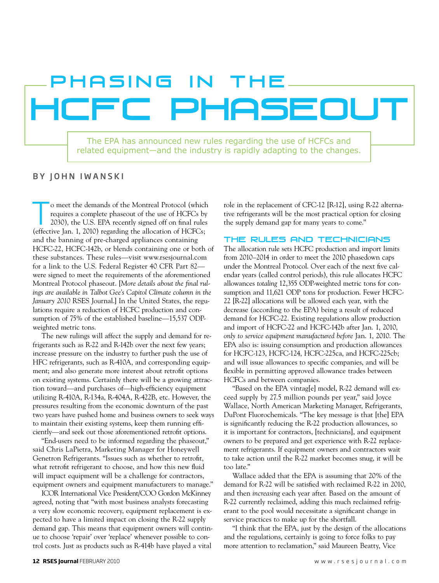# HCFC Phaseout PHASING IN THE

The EPA has announced new rules regarding the use of HCFCs and related equipment—and the industry is rapidly adapting to the changes.

## BY JOHN IWANSKI

To meet the demands of the Montreal Protocol (which requires a complete phaseout of the use of HCFCs by 2030), the U.S. EPA recently signed off on final rules (effective Jan. 1, 2010) regarding the allocation of HCFCs; and the banning of pre-charged appliances containing HCFC-22, HCFC-142b, or blends containing one or both of these substances. These rules—visit www.rsesjournal.com for a link to the U.S. Federal Register 40 CFR Part 82 were signed to meet the requirements of the aforementioned Montreal Protocol phaseout. [*More details about the final rulings are available in Talbot Gee's Capitol Climate column in the January 2010* RSES Journal.] In the United States, the regulations require a reduction of HCFC production and consumption of 75% of the established baseline—15,537 ODPweighted metric tons.

The new rulings will affect the supply and demand for refrigerants such as R-22 and R-142b over the next few years; increase pressure on the industry to further push the use of HFC refrigerants, such as R-410A, and corresponding equipment; and also generate more interest about retrofit options on existing systems. Certainly there will be a growing attraction toward—and purchases of—high-efficiency equipment utilizing R-410A, R-134a, R-404A, R-422B, etc. However, the pressures resulting from the economic downturn of the past two years have pushed home and business owners to seek ways to maintain their existing systems, keep them running efficiently—and seek out those aforementioned retrofit options.

"End-users need to be informed regarding the phaseout," said Chris LaPietra, Marketing Manager for Honeywell Genetron Refrigerants. "Issues such as whether to retrofit, what retrofit refrigerant to choose, and how this new fluid will impact equipment will be a challenge for contractors, equipment owners and equipment manufacturers to manage."

ICOR International Vice President/COO Gordon McKinney agreed, noting that "with most business analysts forecasting a very slow economic recovery, equipment replacement is expected to have a limited impact on closing the R-22 supply demand gap. This means that equipment owners will continue to choose 'repair' over 'replace' whenever possible to control costs. Just as products such as R-414b have played a vital

role in the replacement of CFC-12 [R-12], using R-22 alternative refrigerants will be the most practical option for closing the supply demand gap for many years to come."

#### The rules and technicians

The allocation rule sets HCFC production and import limits from 2010–2014 in order to meet the 2010 phasedown caps under the Montreal Protocol. Over each of the next five calendar years (called control periods), this rule allocates HCFC allowances *totaling* 12,355 ODP-weighted metric tons for consumption and 11,621 ODP tons for production. Fewer HCFC-22 [R-22] allocations will be allowed each year, with the decrease (according to the EPA) being a result of reduced demand for HCFC-22. Existing regulations allow production and import of HCFC-22 and HCFC-142b after Jan. 1, 2010, *only to service equipment manufactured before* Jan. 1, 2010. The EPA also is: issuing consumption and production allowances for HCFC-123, HCFC-124, HCFC-225ca, and HCFC-225cb; and will issue allowances to specific companies, and will be flexible in permitting approved allowance trades between HCFCs and between companies.

"Based on the EPA vintag[e] model, R-22 demand will exceed supply by 27.5 million pounds per year," said Joyce Wallace, North American Marketing Manager, Refrigerants, DuPont Fluorochemicals. "The key message is that [the] EPA is significantly reducing the R-22 production allowances, so it is important for contractors, [technicians], and equipment owners to be prepared and get experience with R-22 replacement refrigerants. If equipment owners and contractors wait to take action until the R-22 market becomes snug, it will be too late."

Wallace added that the EPA is assuming that 20% of the demand for R-22 will be satisfied with reclaimed R-22 in 2010, and then *increasing* each year after. Based on the amount of R-22 currently reclaimed, adding this much reclaimed refrigerant to the pool would necessitate a significant change in service practices to make up for the shortfall.

"I think that the EPA, just by the design of the allocations and the regulations, certainly is going to force folks to pay more attention to reclamation," said Maureen Beatty, Vice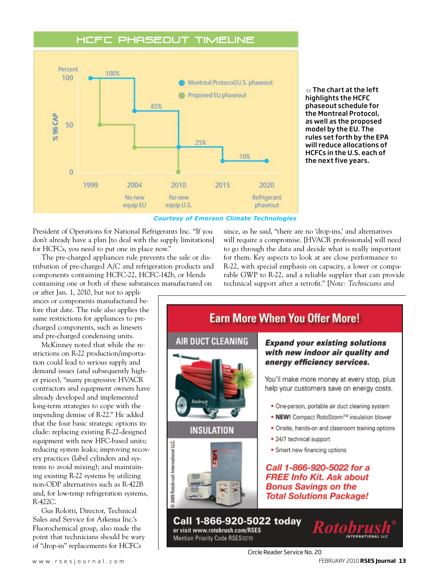## HCFC Phaseout Timeline



The chart at the left highlights the HCFC phaseout schedule for the Montreal Protocol, as well as the proposed model by the EU. The rules set forth by the EPA will reduce allocations of HCFCs in the U.S. each of the next five years.

#### *Courtesy of Emerson Climate Technologies*

President of Operations for National Refrigerants Inc. "If you don't already have a plan [to deal with the supply limitations] for HCFCs, you need to put one in place now."

The pre-charged appliances rule prevents the sale or distribution of pre-charged A/C and refrigeration products and components containing HCFC-22, HCFC-142b, or blends containing one or both of these substances manufactured on

or after Jan. 1, 2010, but *not* to appliances or components manufactured before that date. The rule also applies the same restrictions for appliances to precharged components, such as linesets and pre-charged condensing units.

McKinney noted that while the restrictions on R-22 production/importation could lead to serious supply and demand issues (and subsequently higher prices), "many progressive HVACR contractors and equipment owners have already developed and implemented long-term strategies to cope with the impending demise of R-22." He added that the four basic strategic options include: replacing existing R-22-designed equipment with new HFC-based units; reducing system leaks; improving recovery practices (label cylinders and systems to avoid mixing); and maintaining existing R-22 systems by utilizing non-ODP alternatives such as R-422B and, for low-temp refrigeration systems, R-422C.

Gus Rolotti, Director, Technical Sales and Service for Arkema Inc.'s Fluorochemical group, also made the point that technicians should be wary of "drop-in" replacements for HCFCs

since, as he said, "there are no 'drop-ins,' and alternatives will require a compromise. [HVACR professionals] will need to go through the data and decide what is really important for them. Key aspects to look at are close performance to R-22, with special emphasis on capacity, a lower or comparable GWP to R-22, and a reliable supplier that can provide technical support after a retrofit." [*Note: Technicians and* 

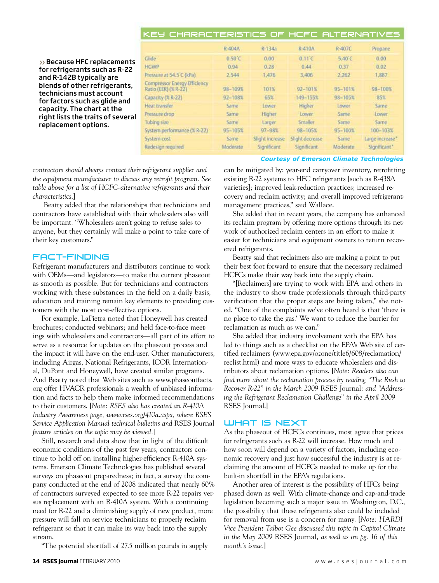| KEY CHARACTERISTICS OF HCFC ALTERNATIVES                    |                  |                 |                 |             |                 |
|-------------------------------------------------------------|------------------|-----------------|-----------------|-------------|-----------------|
|                                                             | R-404A           | R-134a          | R-410A          | R-407C      | Propane         |
| Glide                                                       | $0.50^{\circ}$ C | 0.00            | 0.11C           | 5.40°C      | 0.00            |
| <b>HGWP</b>                                                 | 0.94             | 0.28            | 0.44            | 0.37        | 0.02            |
| Pressure at 54.5 C (kPa)                                    | 2,544            | 1,476           | 3.406           | 2.262       | 1,887           |
| <b>Compressor Energy Efficiency</b><br>Ratio (EER) (% R-22) | 98-109%          | 101%            | $92 - 101%$     | 95-101%     | $98 - 100%$     |
| Capacity (% R-22)                                           | 92-108%          | 65%             | 149-155%        | $98 - 105%$ | 35%             |
| Heat transfer                                               | Same             | Lower           | Higher          | Lower       | Same            |
| Pressure drop                                               | Same             | Higher          | Lower           | Same        | Lower           |
| Tubing size                                                 | Same.            | Larger          | Smaller         | Same        | Same            |
| System performance (% R-22)                                 | 95-105%          | 97-98%          | 98-105%         | 95-100%     | $100 - 103\%$   |
| System cost                                                 | Same             | Slight increase | Slight decrease | Same        | Large increase" |
| Redesign required                                           | Moderate         | Significant     | Significant     | Moderate    | Significant"    |

*Courtesy of Emerson Climate Technologies*

>> Because HFC replacements for refrigerants such as R-22 and R-142B typically are blends of other refrigerants, technicians must account for factors such as glide and capacity. The chart at the right lists the traits of several replacement options.

*contractors should always contact their refrigerant supplier and the equipment manufacturer to discuss any retrofit program. See table above for a list of HCFC-alternative refrigerants and their characteristics.*]

 Beatty added that the relationships that technicians and contractors have established with their wholesalers also will be important. "Wholesalers aren't going to refuse sales to anyone, but they certainly will make a point to take care of their key customers."

## Fact-finding

Refrigerant manufacturers and distributors continue to work with OEMs—and legislators—to make the current phaseout as smooth as possible. But for technicians and contractors working with these substances in the field on a daily basis, education and training remain key elements to providing customers with the most cost-effective options.

For example, LaPietra noted that Honeywell has created brochures; conducted webinars; and held face-to-face meetings with wholesalers and contractors—all part of its effort to serve as a resource for updates on the phaseout process and the impact it will have on the end-user. Other manufacturers, including Airgas, National Refrigerants, ICOR International, DuPont and Honeywell, have created similar programs. And Beatty noted that Web sites such as www.phaseoutfacts. org offer HVACR professionals a wealth of unbiased information and facts to help them make informed recommendations to their customers. [*Note: RSES also has created an R-410A Industry Awareness page, www.rses.org/410a.aspx, where RSES Service Application Manual technical bulletins and* RSES Journal *feature articles on the topic may be viewed.*]

Still, research and data show that in light of the difficult economic conditions of the past few years, contractors continue to hold off on installing higher-efficiency R-410A systems. Emerson Climate Technologies has published several surveys on phaseout preparedness; in fact, a survey the company conducted at the end of 2008 indicated that nearly 60% of contractors surveyed expected to see more R-22 repairs versus replacement with an R-410A system. With a continuing need for R-22 and a diminishing supply of new product, more pressure will fall on service technicians to properly reclaim refrigerant so that it can make its way back into the supply stream.

"The potential shortfall of 27.5 million pounds in supply

can be mitigated by: year-end carryover inventory, retrofitting existing R-22 systems to HFC refrigerants [such as R-438A varieties]; improved leak-reduction practices; increased recovery and reclaim activity; and overall improved refrigerantmanagement practices," said Wallace.

She added that in recent years, the company has enhanced its reclaim program by offering more options through its network of authorized reclaim centers in an effort to make it easier for technicians and equipment owners to return recovered refrigerants.

Beatty said that reclaimers also are making a point to put their best foot forward to ensure that the necessary reclaimed HCFCs make their way back into the supply chain.

"[Reclaimers] are trying to work with EPA and others in the industry to show trade professionals through third-party verification that the proper steps are being taken," she noted. "One of the complaints we've often heard is that 'there is no place to take the gas.' We want to reduce the barrier for reclamation as much as we can."

She added that industry involvement with the EPA has led to things such as a checklist on the EPA's Web site of certified reclaimers (www.epa.gov/ozone/title6/608/reclamation/ reclist.html) and more ways to educate wholesalers and distributors about reclamation options. [*Note: Readers also can*  find more about the reclamation process by reading "The Rush to *Recover R-22" in the March 2009* RSES Journal*; and "Addressing the Refrigerant Reclamation Challenge" in the April 2009*  RSES Journal.]

## **WHAT IS NEXT**

As the phaseout of HCFCs continues, most agree that prices for refrigerants such as R-22 will increase. How much and how soon will depend on a variety of factors, including economic recovery and just how successful the industry is at reclaiming the amount of HCFCs needed to make up for the built-in shortfall in the EPA's regulations.

Another area of interest is the possibility of HFCs being phased down as well. With climate-change and cap-and-trade legislation becoming such a major issue in Washington, D.C., the possibility that these refrigerants also could be included for removal from use is a concern for many. [*Note: HARDI Vice President Talbot Gee discussed this topic in Capitol Climate in the May 2009* RSES Journal*, as well as on pg. 16 of this month's issue.*]